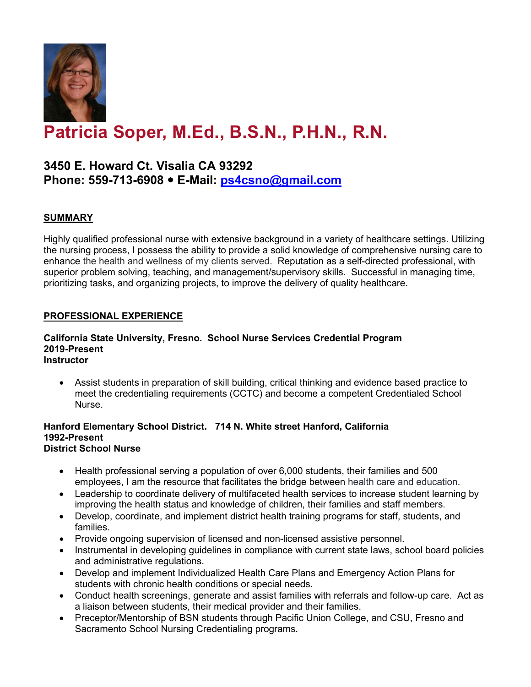

# **Patricia Soper, M.Ed., B.S.N., P.H.N., R.N.**

# **3450 E. Howard Ct. Visalia CA 93292 Phone: 559-713-6908 E-Mail: [ps4csno@gmail.com](mailto:ps4csno@gmail.com)**

# **SUMMARY**

Highly qualified professional nurse with extensive background in a variety of healthcare settings. Utilizing the nursing process, I possess the ability to provide a solid knowledge of comprehensive nursing care to enhance the health and wellness of my clients served. Reputation as a self-directed professional, with superior problem solving, teaching, and management/supervisory skills. Successful in managing time, prioritizing tasks, and organizing projects, to improve the delivery of quality healthcare.

### **PROFESSIONAL EXPERIENCE**

#### **California State University, Fresno. School Nurse Services Credential Program 2019-Present Instructor**

• Assist students in preparation of skill building, critical thinking and evidence based practice to meet the credentialing requirements (CCTC) and become a competent Credentialed School Nurse.

#### **Hanford Elementary School District. 714 N. White street Hanford, California 1992-Present District School Nurse**

- Health professional serving a population of over 6,000 students, their families and 500 employees, I am the resource that facilitates the bridge between health care and education.
- Leadership to coordinate delivery of multifaceted health services to increase student learning by improving the health status and knowledge of children, their families and staff members.
- Develop, coordinate, and implement district health training programs for staff, students, and families.
- Provide ongoing supervision of licensed and non-licensed assistive personnel.
- Instrumental in developing guidelines in compliance with current state laws, school board policies and administrative regulations.
- Develop and implement Individualized Health Care Plans and Emergency Action Plans for students with chronic health conditions or special needs.
- Conduct health screenings, generate and assist families with referrals and follow-up care. Act as a liaison between students, their medical provider and their families.
- Preceptor/Mentorship of BSN students through Pacific Union College, and CSU, Fresno and Sacramento School Nursing Credentialing programs.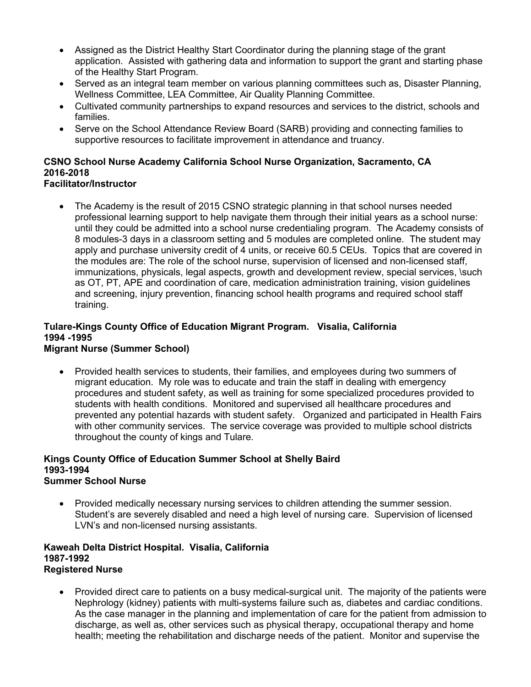- Assigned as the District Healthy Start Coordinator during the planning stage of the grant application. Assisted with gathering data and information to support the grant and starting phase of the Healthy Start Program.
- Served as an integral team member on various planning committees such as, Disaster Planning, Wellness Committee, LEA Committee, Air Quality Planning Committee.
- Cultivated community partnerships to expand resources and services to the district, schools and families.
- Serve on the School Attendance Review Board (SARB) providing and connecting families to supportive resources to facilitate improvement in attendance and truancy.

# **CSNO School Nurse Academy California School Nurse Organization, Sacramento, CA 2016-2018**

### **Facilitator/Instructor**

• The Academy is the result of 2015 CSNO strategic planning in that school nurses needed professional learning support to help navigate them through their initial years as a school nurse: until they could be admitted into a school nurse credentialing program. The Academy consists of 8 modules-3 days in a classroom setting and 5 modules are completed online. The student may apply and purchase university credit of 4 units, or receive 60.5 CEUs. Topics that are covered in the modules are: The role of the school nurse, supervision of licensed and non-licensed staff, immunizations, physicals, legal aspects, growth and development review, special services, \such as OT, PT, APE and coordination of care, medication administration training, vision guidelines and screening, injury prevention, financing school health programs and required school staff training.

# **Tulare-Kings County Office of Education Migrant Program. Visalia, California 1994 -1995**

# **Migrant Nurse (Summer School)**

• Provided health services to students, their families, and employees during two summers of migrant education. My role was to educate and train the staff in dealing with emergency procedures and student safety, as well as training for some specialized procedures provided to students with health conditions. Monitored and supervised all healthcare procedures and prevented any potential hazards with student safety. Organized and participated in Health Fairs with other community services. The service coverage was provided to multiple school districts throughout the county of kings and Tulare.

#### **Kings County Office of Education Summer School at Shelly Baird 1993-1994 Summer School Nurse**

• Provided medically necessary nursing services to children attending the summer session. Student's are severely disabled and need a high level of nursing care. Supervision of licensed LVN's and non-licensed nursing assistants.

#### **Kaweah Delta District Hospital. Visalia, California 1987-1992 Registered Nurse**

• Provided direct care to patients on a busy medical-surgical unit. The majority of the patients were Nephrology (kidney) patients with multi-systems failure such as, diabetes and cardiac conditions. As the case manager in the planning and implementation of care for the patient from admission to discharge, as well as, other services such as physical therapy, occupational therapy and home health; meeting the rehabilitation and discharge needs of the patient. Monitor and supervise the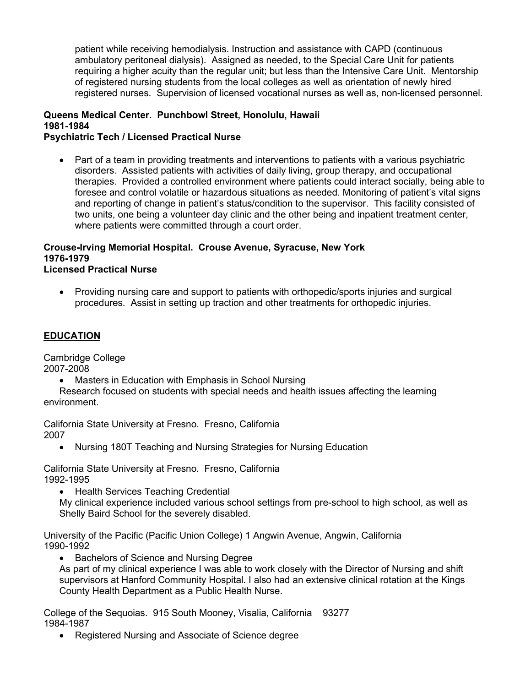patient while receiving hemodialysis. Instruction and assistance with CAPD (continuous ambulatory peritoneal dialysis). Assigned as needed, to the Special Care Unit for patients requiring a higher acuity than the regular unit; but less than the Intensive Care Unit. Mentorship of registered nursing students from the local colleges as well as orientation of newly hired registered nurses. Supervision of licensed vocational nurses as well as, non-licensed personnel.

#### **Queens Medical Center. Punchbowl Street, Honolulu, Hawaii 1981-1984 Psychiatric Tech / Licensed Practical Nurse**

• Part of a team in providing treatments and interventions to patients with a various psychiatric disorders. Assisted patients with activities of daily living, group therapy, and occupational therapies. Provided a controlled environment where patients could interact socially, being able to foresee and control volatile or hazardous situations as needed. Monitoring of patient's vital signs and reporting of change in patient's status/condition to the supervisor. This facility consisted of two units, one being a volunteer day clinic and the other being and inpatient treatment center, where patients were committed through a court order.

# **Crouse-Irving Memorial Hospital. Crouse Avenue, Syracuse, New York 1976-1979**

## **Licensed Practical Nurse**

• Providing nursing care and support to patients with orthopedic/sports injuries and surgical procedures. Assist in setting up traction and other treatments for orthopedic injuries.

### **EDUCATION**

Cambridge College 2007-2008

• Masters in Education with Emphasis in School Nursing

Research focused on students with special needs and health issues affecting the learning environment.

California State University at Fresno. Fresno, California 2007

• Nursing 180T Teaching and Nursing Strategies for Nursing Education

California State University at Fresno. Fresno, California 1992-1995

• Health Services Teaching Credential

My clinical experience included various school settings from pre-school to high school, as well as Shelly Baird School for the severely disabled.

University of the Pacific (Pacific Union College) 1 Angwin Avenue, Angwin, California 1990-1992

- Bachelors of Science and Nursing Degree
- As part of my clinical experience I was able to work closely with the Director of Nursing and shift supervisors at Hanford Community Hospital. I also had an extensive clinical rotation at the Kings County Health Department as a Public Health Nurse.

College of the Sequoias. 915 South Mooney, Visalia, California 93277 1984-1987

• Registered Nursing and Associate of Science degree